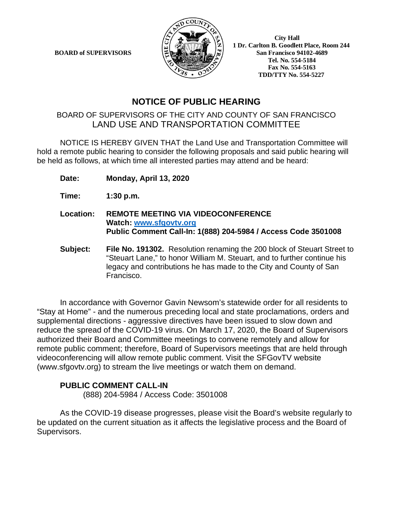**BOARD of SUPERVISORS** 



 **1 Dr. Carlton B. Goodlett Place, Room 244 Tel. No. 554-5184 Fax No. 554-5163 TDD/TTY No. 554-5227**

## **NOTICE OF PUBLIC HEARING**

## BOARD OF SUPERVISORS OF THE CITY AND COUNTY OF SAN FRANCISCO LAND USE AND TRANSPORTATION COMMITTEE

NOTICE IS HEREBY GIVEN THAT the Land Use and Transportation Committee will hold a remote public hearing to consider the following proposals and said public hearing will be held as follows, at which time all interested parties may attend and be heard:

**Date: Monday, April 13, 2020**

**Time: 1:30 p.m.**

- **Location: REMOTE MEETING VIA VIDEOCONFERENCE Watch: [www.sfgovtv.org](http://www.sfgovtv.org/) Public Comment Call-In: 1(888) 204-5984 / Access Code 3501008**
- **Subject: File No. 191302.** Resolution renaming the 200 block of Steuart Street to "Steuart Lane," to honor William M. Steuart, and to further continue his legacy and contributions he has made to the City and County of San Francisco.

In accordance with Governor Gavin Newsom's statewide order for all residents to "Stay at Home" - and the numerous preceding local and state proclamations, orders and supplemental directions - aggressive directives have been issued to slow down and reduce the spread of the COVID-19 virus. On March 17, 2020, the Board of Supervisors authorized their Board and Committee meetings to convene remotely and allow for remote public comment; therefore, Board of Supervisors meetings that are held through videoconferencing will allow remote public comment. Visit the SFGovTV website (www.sfgovtv.org) to stream the live meetings or watch them on demand.

## **PUBLIC COMMENT CALL-IN**

(888) 204-5984 / Access Code: 3501008

As the COVID-19 disease progresses, please visit the Board's website regularly to be updated on the current situation as it affects the legislative process and the Board of Supervisors.